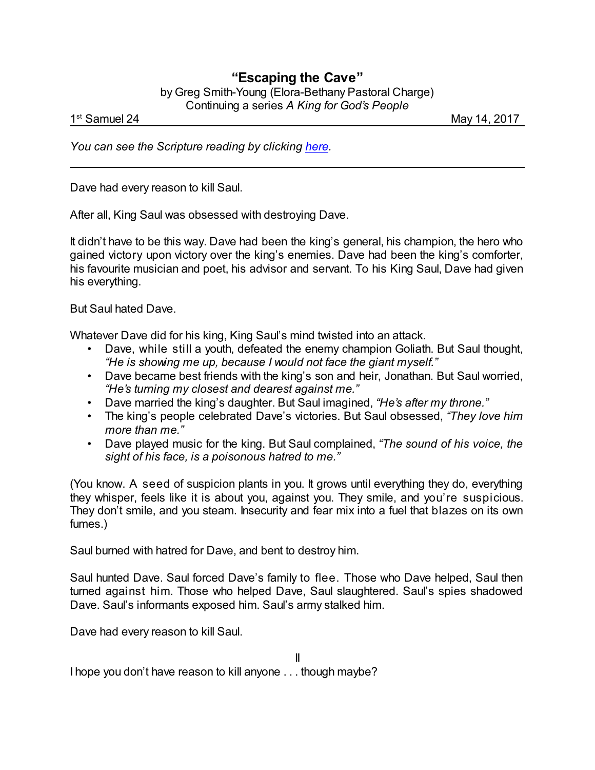## **"Escaping the Cave"**

by Greg Smith-Young (Elora-Bethany Pastoral Charge) Continuing a series *A King for God's People*

1<sup>st</sup> Samuel 24

May 14, 2017

*You can see the Scripture reading by clicking [here](https://www.biblegateway.com/passage/?search=1+Samuel+24&version=CEB).*

Dave had every reason to kill Saul.

After all, King Saul was obsessed with destroying Dave.

It didn't have to be this way. Dave had been the king's general, his champion, the hero who gained victory upon victory over the king's enemies. Dave had been the king's comforter, his favourite musician and poet, his advisor and servant. To his King Saul, Dave had given his everything.

But Saul hated Dave.

Whatever Dave did for his king, King Saul's mind twisted into an attack.

- Dave, while still a youth, defeated the enemy champion Goliath. But Saul thought, *"He is showing me up, because I would not face the giant myself."*
- Dave became best friends with the king's son and heir, Jonathan. But Saul worried, *"He's turning my closest and dearest against me."*
- Dave married the king's daughter. But Saul imagined, *"He's after my throne."*
- The king's people celebrated Dave's victories. But Saul obsessed, *"They love him more than me."*
- Dave played music for the king. But Saul complained, *"The sound of his voice, the sight of his face, is a poisonous hatred to me."*

(You know. A seed of suspicion plants in you. It grows until everything they do, everything they whisper, feels like it is about you, against you. They smile, and you're suspicious. They don't smile, and you steam. Insecurity and fear mix into a fuel that blazes on its own fumes.)

Saul burned with hatred for Dave, and bent to destroy him.

Saul hunted Dave. Saul forced Dave's family to flee. Those who Dave helped, Saul then turned against him. Those who helped Dave, Saul slaughtered. Saul's spies shadowed Dave. Saul's informants exposed him. Saul's army stalked him.

II

Dave had every reason to kill Saul.

I hope you don't have reason to kill anyone . . . though maybe?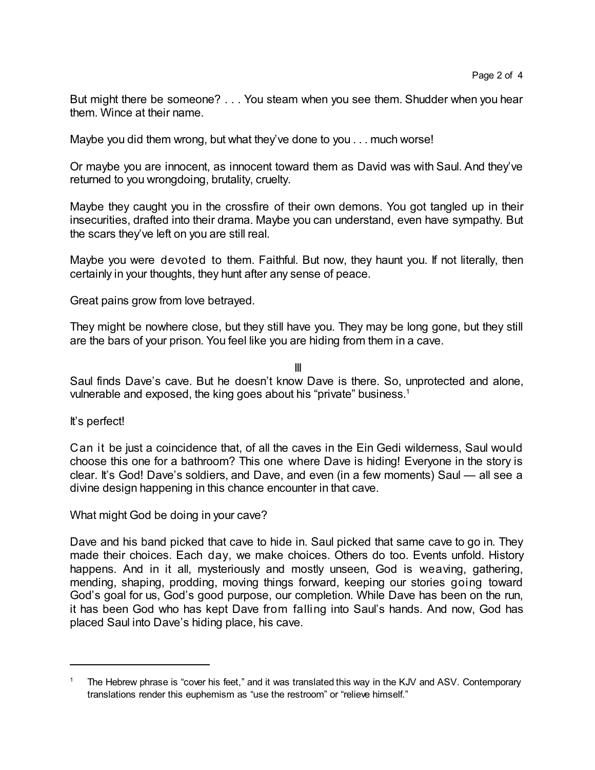But might there be someone? . . . You steam when you see them. Shudder when you hear them. Wince at their name.

Maybe you did them wrong, but what they've done to you . . . much worse!

Or maybe you are innocent, as innocent toward them as David was with Saul. And they've returned to you wrongdoing, brutality, cruelty.

Maybe they caught you in the crossfire of their own demons. You got tangled up in their insecurities, drafted into their drama. Maybe you can understand, even have sympathy. But the scars they've left on you are still real.

Maybe you were devoted to them. Faithful. But now, they haunt you. If not literally, then certainly in your thoughts, they hunt after any sense of peace.

Great pains grow from love betrayed.

They might be nowhere close, but they still have you. They may be long gone, but they still are the bars of your prison. You feel like you are hiding from them in a cave.

III

Saul finds Dave's cave. But he doesn't know Dave is there. So, unprotected and alone, vulnerable and exposed, the king goes about his "private" business.<sup>1</sup>

It's perfect!

Can it be just a coincidence that, of all the caves in the Ein Gedi wilderness, Saul would choose this one for a bathroom? This one where Dave is hiding! Everyone in the story is clear. It's God! Dave's soldiers, and Dave, and even (in a few moments) Saul — all see a divine design happening in this chance encounter in that cave.

What might God be doing in your cave?

Dave and his band picked that cave to hide in. Saul picked that same cave to go in. They made their choices. Each day, we make choices. Others do too. Events unfold. History happens. And in it all, mysteriously and mostly unseen, God is weaving, gathering, mending, shaping, prodding, moving things forward, keeping our stories going toward God's goal for us, God's good purpose, our completion. While Dave has been on the run, it has been God who has kept Dave from falling into Saul's hands. And now, God has placed Saul into Dave's hiding place, his cave.

<sup>&</sup>lt;sup>1</sup> The Hebrew phrase is "cover his feet," and it was translated this way in the KJV and ASV. Contemporary translations render this euphemism as "use the restroom" or "relieve himself."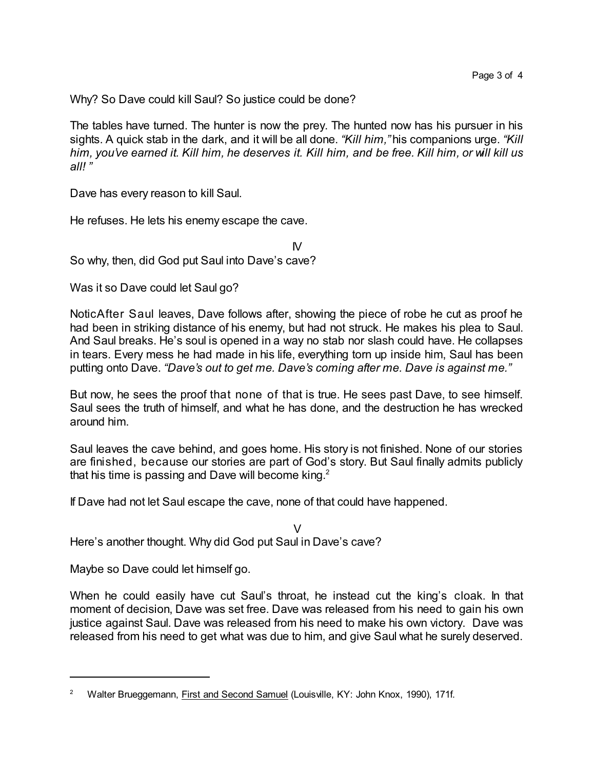Why? So Dave could kill Saul? So justice could be done?

The tables have turned. The hunter is now the prey. The hunted now has his pursuer in his sights. A quick stab in the dark, and it will be all done. *"Kill him,"* his companions urge. *"Kill him, you've earned it. Kill him, he deserves it. Kill him, and be free. Kill him, or will kill us all! "*

Dave has every reason to kill Saul.

He refuses. He lets his enemy escape the cave.

IV So why, then, did God put Saul into Dave's cave?

Was it so Dave could let Saul go?

NoticAfter Saul leaves, Dave follows after, showing the piece of robe he cut as proof he had been in striking distance of his enemy, but had not struck. He makes his plea to Saul. And Saul breaks. He's soul is opened in a way no stab nor slash could have. He collapses in tears. Every mess he had made in his life, everything torn up inside him, Saul has been putting onto Dave. *"Dave's out to get me. Dave's coming after me. Dave is against me."*

But now, he sees the proof that none of that is true. He sees past Dave, to see himself. Saul sees the truth of himself, and what he has done, and the destruction he has wrecked around him.

Saul leaves the cave behind, and goes home. His story is not finished. None of our stories are finished, because our stories are part of God's story. But Saul finally admits publicly that his time is passing and Dave will become king. $2$ 

If Dave had not let Saul escape the cave, none of that could have happened.

V Here's another thought. Why did God put Saul in Dave's cave?

Maybe so Dave could let himself go.

When he could easily have cut Saul's throat, he instead cut the king's cloak. In that moment of decision, Dave was set free. Dave was released from his need to gain his own justice against Saul. Dave was released from his need to make his own victory. Dave was released from his need to get what was due to him, and give Saul what he surely deserved.

Walter Brueggemann, First and Second Samuel (Louisville, KY: John Knox, 1990), 171f.